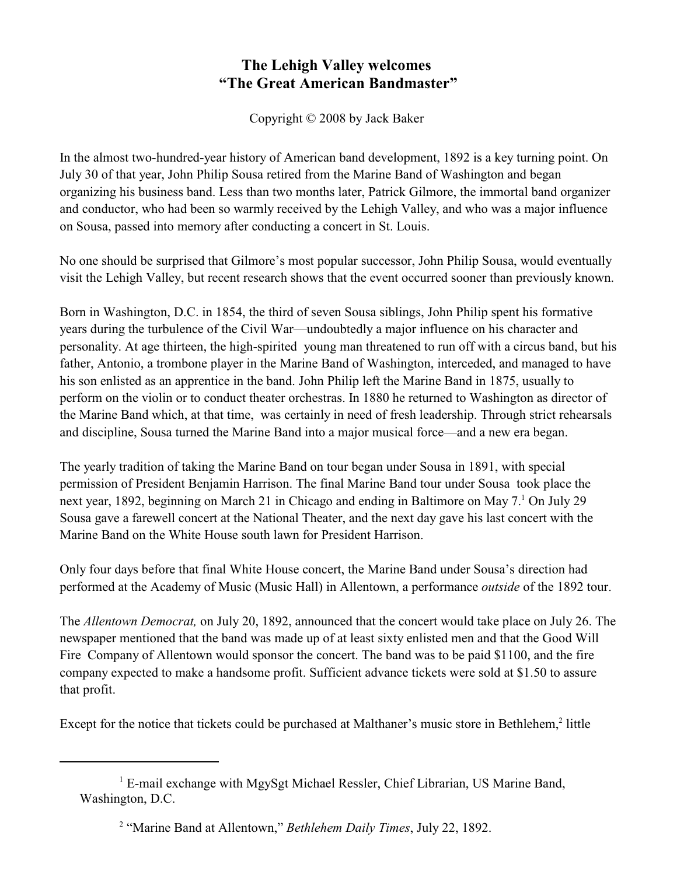## **The Lehigh Valley welcomes "The Great American Bandmaster"**

Copyright © 2008 by Jack Baker

In the almost two-hundred-year history of American band development, 1892 is a key turning point. On July 30 of that year, John Philip Sousa retired from the Marine Band of Washington and began organizing his business band. Less than two months later, Patrick Gilmore, the immortal band organizer and conductor, who had been so warmly received by the Lehigh Valley, and who was a major influence on Sousa, passed into memory after conducting a concert in St. Louis.

No one should be surprised that Gilmore's most popular successor, John Philip Sousa, would eventually visit the Lehigh Valley, but recent research shows that the event occurred sooner than previously known.

Born in Washington, D.C. in 1854, the third of seven Sousa siblings, John Philip spent his formative years during the turbulence of the Civil War—undoubtedly a major influence on his character and personality. At age thirteen, the high-spirited young man threatened to run off with a circus band, but his father, Antonio, a trombone player in the Marine Band of Washington, interceded, and managed to have his son enlisted as an apprentice in the band. John Philip left the Marine Band in 1875, usually to perform on the violin or to conduct theater orchestras. In 1880 he returned to Washington as director of the Marine Band which, at that time, was certainly in need of fresh leadership. Through strict rehearsals and discipline, Sousa turned the Marine Band into a major musical force—and a new era began.

The yearly tradition of taking the Marine Band on tour began under Sousa in 1891, with special permission of President Benjamin Harrison. The final Marine Band tour under Sousa took place the next year, 1892, beginning on March 21 in Chicago and ending in Baltimore on May 7.<sup>1</sup> On July 29 Sousa gave a farewell concert at the National Theater, and the next day gave his last concert with the Marine Band on the White House south lawn for President Harrison.

Only four days before that final White House concert, the Marine Band under Sousa's direction had performed at the Academy of Music (Music Hall) in Allentown, a performance *outside* of the 1892 tour.

The *Allentown Democrat,* on July 20, 1892, announced that the concert would take place on July 26. The newspaper mentioned that the band was made up of at least sixty enlisted men and that the Good Will Fire Company of Allentown would sponsor the concert. The band was to be paid \$1100, and the fire company expected to make a handsome profit. Sufficient advance tickets were sold at \$1.50 to assure that profit.

Except for the notice that tickets could be purchased at Malthaner's music store in Bethlehem,<sup>2</sup> little

<sup>&</sup>lt;sup>1</sup> E-mail exchange with MgySgt Michael Ressler, Chief Librarian, US Marine Band, Washington, D.C.

<sup>&</sup>lt;sup>2</sup> "Marine Band at Allentown," *Bethlehem Daily Times*, July 22, 1892.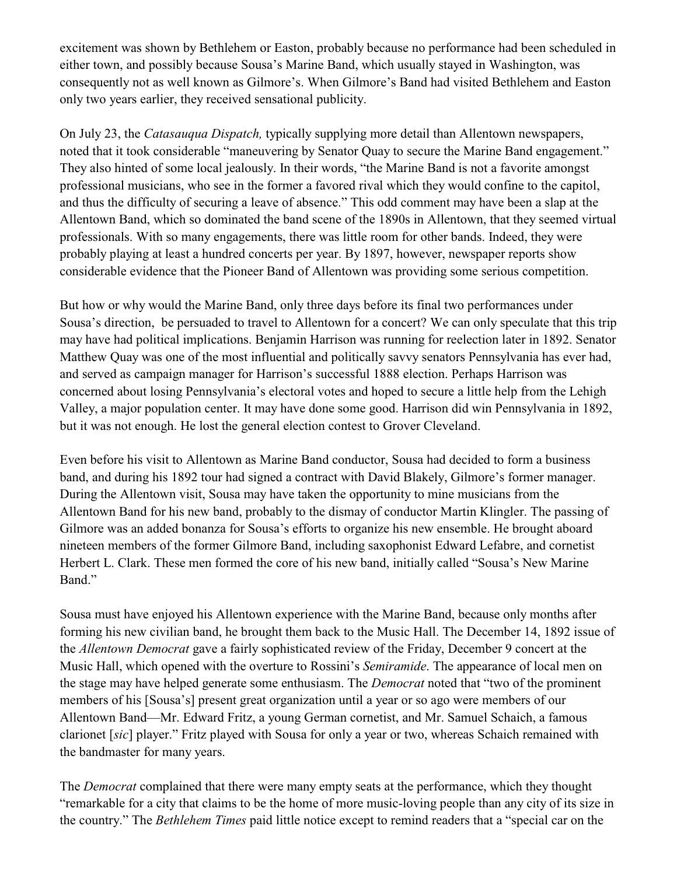excitement was shown by Bethlehem or Easton, probably because no performance had been scheduled in either town, and possibly because Sousa's Marine Band, which usually stayed in Washington, was consequently not as well known as Gilmore's. When Gilmore's Band had visited Bethlehem and Easton only two years earlier, they received sensational publicity.

On July 23, the *Catasauqua Dispatch,* typically supplying more detail than Allentown newspapers, noted that it took considerable "maneuvering by Senator Quay to secure the Marine Band engagement." They also hinted of some local jealously. In their words, "the Marine Band is not a favorite amongst professional musicians, who see in the former a favored rival which they would confine to the capitol, and thus the difficulty of securing a leave of absence." This odd comment may have been a slap at the Allentown Band, which so dominated the band scene of the 1890s in Allentown, that they seemed virtual professionals. With so many engagements, there was little room for other bands. Indeed, they were probably playing at least a hundred concerts per year. By 1897, however, newspaper reports show considerable evidence that the Pioneer Band of Allentown was providing some serious competition.

But how or why would the Marine Band, only three days before its final two performances under Sousa's direction, be persuaded to travel to Allentown for a concert? We can only speculate that this trip may have had political implications. Benjamin Harrison was running for reelection later in 1892. Senator Matthew Quay was one of the most influential and politically savvy senators Pennsylvania has ever had, and served as campaign manager for Harrison's successful 1888 election. Perhaps Harrison was concerned about losing Pennsylvania's electoral votes and hoped to secure a little help from the Lehigh Valley, a major population center. It may have done some good. Harrison did win Pennsylvania in 1892, but it was not enough. He lost the general election contest to Grover Cleveland.

Even before his visit to Allentown as Marine Band conductor, Sousa had decided to form a business band, and during his 1892 tour had signed a contract with David Blakely, Gilmore's former manager. During the Allentown visit, Sousa may have taken the opportunity to mine musicians from the Allentown Band for his new band, probably to the dismay of conductor Martin Klingler. The passing of Gilmore was an added bonanza for Sousa's efforts to organize his new ensemble. He brought aboard nineteen members of the former Gilmore Band, including saxophonist Edward Lefabre, and cornetist Herbert L. Clark. These men formed the core of his new band, initially called "Sousa's New Marine Band."

Sousa must have enjoyed his Allentown experience with the Marine Band, because only months after forming his new civilian band, he brought them back to the Music Hall. The December 14, 1892 issue of the *Allentown Democrat* gave a fairly sophisticated review of the Friday, December 9 concert at the Music Hall, which opened with the overture to Rossini's *Semiramide*. The appearance of local men on the stage may have helped generate some enthusiasm. The *Democrat* noted that "two of the prominent members of his [Sousa's] present great organization until a year or so ago were members of our Allentown Band—Mr. Edward Fritz, a young German cornetist, and Mr. Samuel Schaich, a famous clarionet [*sic*] player." Fritz played with Sousa for only a year or two, whereas Schaich remained with the bandmaster for many years.

The *Democrat* complained that there were many empty seats at the performance, which they thought "remarkable for a city that claims to be the home of more music-loving people than any city of its size in the country." The *Bethlehem Times* paid little notice except to remind readers that a "special car on the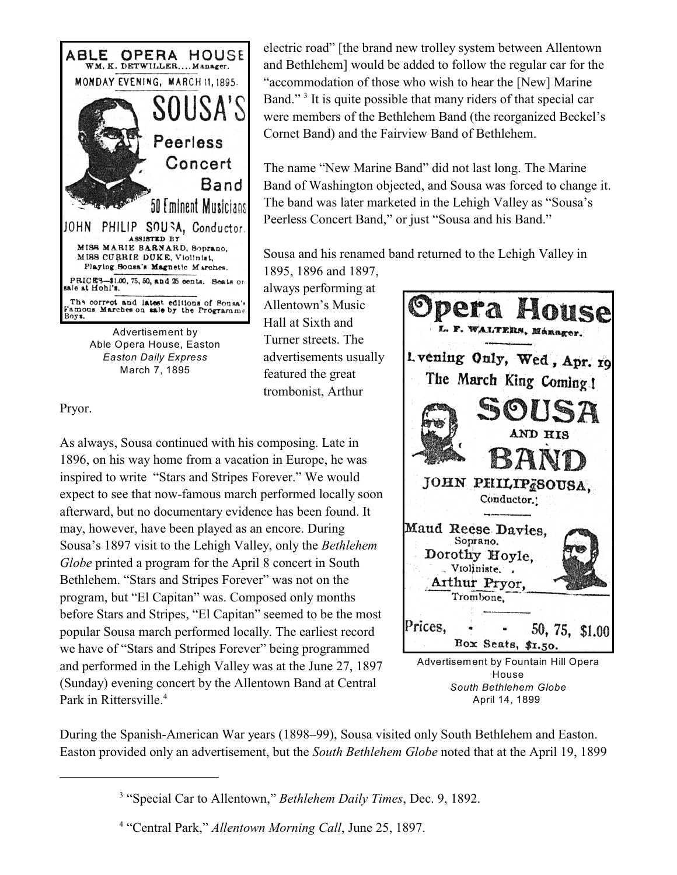

Able Opera House, Easton *Easton Daily Express* March 7, 1895

Pryor.

As always, Sousa continued with his composing. Late in 1896, on his way home from a vacation in Europe, he was inspired to write "Stars and Stripes Forever." We would expect to see that now-famous march performed locally soon afterward, but no documentary evidence has been found. It may, however, have been played as an encore. During Sousa's 1897 visit to the Lehigh Valley, only the *Bethlehem Globe* printed a program for the April 8 concert in South Bethlehem. "Stars and Stripes Forever" was not on the program, but "El Capitan" was. Composed only months before Stars and Stripes, "El Capitan" seemed to be the most popular Sousa march performed locally. The earliest record we have of "Stars and Stripes Forever" being programmed and performed in the Lehigh Valley was at the June 27, 1897 (Sunday) evening concert by the Allentown Band at Central Park in Rittersville.<sup>4</sup>

electric road" [the brand new trolley system between Allentown and Bethlehem] would be added to follow the regular car for the "accommodation of those who wish to hear the [New] Marine Band."<sup>3</sup> It is quite possible that many riders of that special car were members of the Bethlehem Band (the reorganized Beckel's Cornet Band) and the Fairview Band of Bethlehem.

The name "New Marine Band" did not last long. The Marine Band of Washington objected, and Sousa was forced to change it. The band was later marketed in the Lehigh Valley as "Sousa's Peerless Concert Band," or just "Sousa and his Band."

Sousa and his renamed band returned to the Lehigh Valley in

1895, 1896 and 1897, always performing at Allentown's Music Hall at Sixth and Turner streets. The advertisements usually featured the great trombonist, Arthur



During the Spanish-American War years (1898–99), Sousa visited only South Bethlehem and Easton. Easton provided only an advertisement, but the *South Bethlehem Globe* noted that at the April 19, 1899

<sup>&</sup>lt;sup>3</sup> "Special Car to Allentown," *Bethlehem Daily Times*, Dec. 9, 1892.

<sup>&</sup>lt;sup>4</sup> "Central Park," *Allentown Morning Call*, June 25, 1897.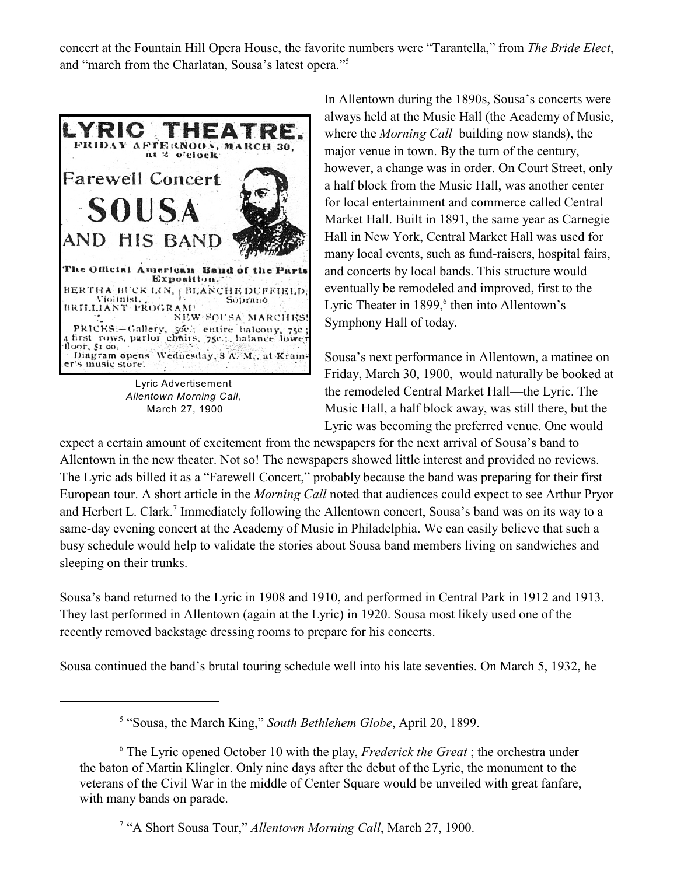concert at the Fountain Hill Opera House, the favorite numbers were "Tarantella," from *The Bride Elect*, and "march from the Charlatan, Sousa's latest opera."<sup>5</sup>



Lyric Advertisement *Allentown Morning Call*, March 27, 1900

In Allentown during the 1890s, Sousa's concerts were always held at the Music Hall (the Academy of Music, where the *Morning Call* building now stands), the major venue in town. By the turn of the century, however, a change was in order. On Court Street, only a half block from the Music Hall, was another center for local entertainment and commerce called Central Market Hall. Built in 1891, the same year as Carnegie Hall in New York, Central Market Hall was used for many local events, such as fund-raisers, hospital fairs, and concerts by local bands. This structure would eventually be remodeled and improved, first to the Lyric Theater in 1899,<sup>6</sup> then into Allentown's Symphony Hall of today.

Sousa's next performance in Allentown, a matinee on Friday, March 30, 1900, would naturally be booked at the remodeled Central Market Hall—the Lyric. The Music Hall, a half block away, was still there, but the Lyric was becoming the preferred venue. One would

expect a certain amount of excitement from the newspapers for the next arrival of Sousa's band to Allentown in the new theater. Not so! The newspapers showed little interest and provided no reviews. The Lyric ads billed it as a "Farewell Concert," probably because the band was preparing for their first European tour. A short article in the *Morning Call* noted that audiences could expect to see Arthur Pryor and Herbert L. Clark.<sup>7</sup> Immediately following the Allentown concert, Sousa's band was on its way to a same-day evening concert at the Academy of Music in Philadelphia. We can easily believe that such a busy schedule would help to validate the stories about Sousa band members living on sandwiches and sleeping on their trunks.

Sousa's band returned to the Lyric in 1908 and 1910, and performed in Central Park in 1912 and 1913. They last performed in Allentown (again at the Lyric) in 1920. Sousa most likely used one of the recently removed backstage dressing rooms to prepare for his concerts.

Sousa continued the band's brutal touring schedule well into his late seventies. On March 5, 1932, he

<sup>&</sup>lt;sup>5</sup> "Sousa, the March King," *South Bethlehem Globe*, April 20, 1899.

<sup>&</sup>lt;sup>6</sup> The Lyric opened October 10 with the play, *Frederick the Great*; the orchestra under the baton of Martin Klingler. Only nine days after the debut of the Lyric, the monument to the veterans of the Civil War in the middle of Center Square would be unveiled with great fanfare, with many bands on parade.

<sup>&</sup>lt;sup>7</sup> "A Short Sousa Tour," *Allentown Morning Call*, March 27, 1900.